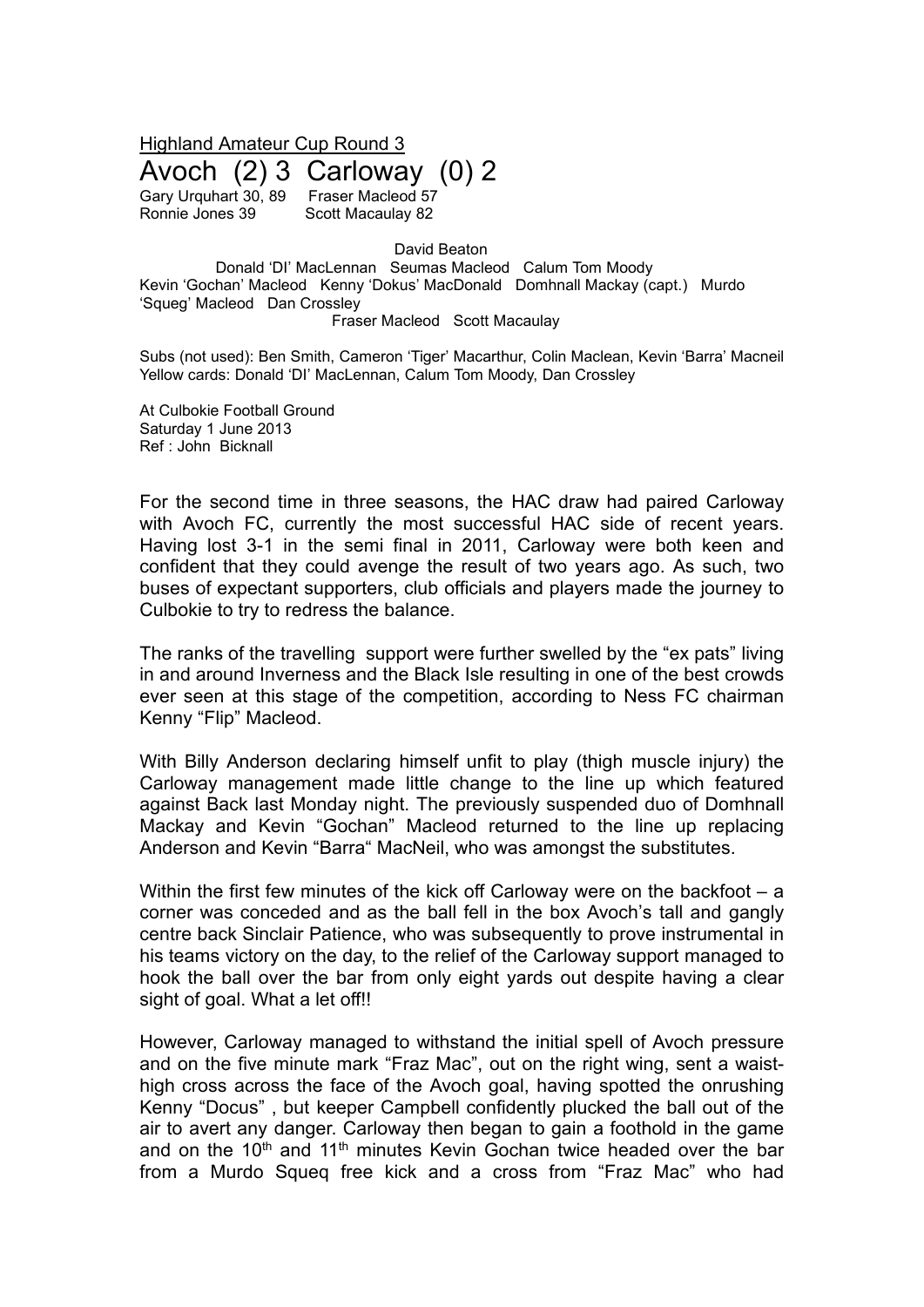Highland Amateur Cup Round 3

Avoch  $(2)$  3 Carloway  $(0)$  2<br>Gary Urguhart 30, 89 Fraser Macleod 57

Gary Urquhart 30, 89

Ronnie Jones 39 Scott Macaulay 82

David Beaton

Donald 'DI' MacLennan Seumas Macleod Calum Tom Moody Kevin 'Gochan' Macleod Kenny 'Dokus' MacDonald Domhnall Mackay (capt.) Murdo 'Squeg' Macleod Dan Crossley

Fraser Macleod Scott Macaulay

Subs (not used): Ben Smith, Cameron 'Tiger' Macarthur, Colin Maclean, Kevin 'Barra' Macneil Yellow cards: Donald 'DI' MacLennan, Calum Tom Moody, Dan Crossley

At Culbokie Football Ground Saturday 1 June 2013 Ref : John Bicknall

For the second time in three seasons, the HAC draw had paired Carloway with Avoch FC, currently the most successful HAC side of recent years. Having lost 3-1 in the semi final in 2011, Carloway were both keen and confident that they could avenge the result of two years ago. As such, two buses of expectant supporters, club officials and players made the journey to Culbokie to try to redress the balance.

The ranks of the travelling support were further swelled by the "ex pats" living in and around Inverness and the Black Isle resulting in one of the best crowds ever seen at this stage of the competition, according to Ness FC chairman Kenny "Flip" Macleod.

With Billy Anderson declaring himself unfit to play (thigh muscle injury) the Carloway management made little change to the line up which featured against Back last Monday night. The previously suspended duo of Domhnall Mackay and Kevin "Gochan" Macleod returned to the line up replacing Anderson and Kevin "Barra" MacNeil, who was amongst the substitutes.

Within the first few minutes of the kick off Carloway were on the backfoot – a corner was conceded and as the ball fell in the box Avoch's tall and gangly centre back Sinclair Patience, who was subsequently to prove instrumental in his teams victory on the day, to the relief of the Carloway support managed to hook the ball over the bar from only eight yards out despite having a clear sight of goal. What a let off!!

However, Carloway managed to withstand the initial spell of Avoch pressure and on the five minute mark "Fraz Mac", out on the right wing, sent a waisthigh cross across the face of the Avoch goal, having spotted the onrushing Kenny "Docus" , but keeper Campbell confidently plucked the ball out of the air to avert any danger. Carloway then began to gain a foothold in the game and on the 10<sup>th</sup> and 11<sup>th</sup> minutes Kevin Gochan twice headed over the bar from a Murdo Squeq free kick and a cross from "Fraz Mac" who had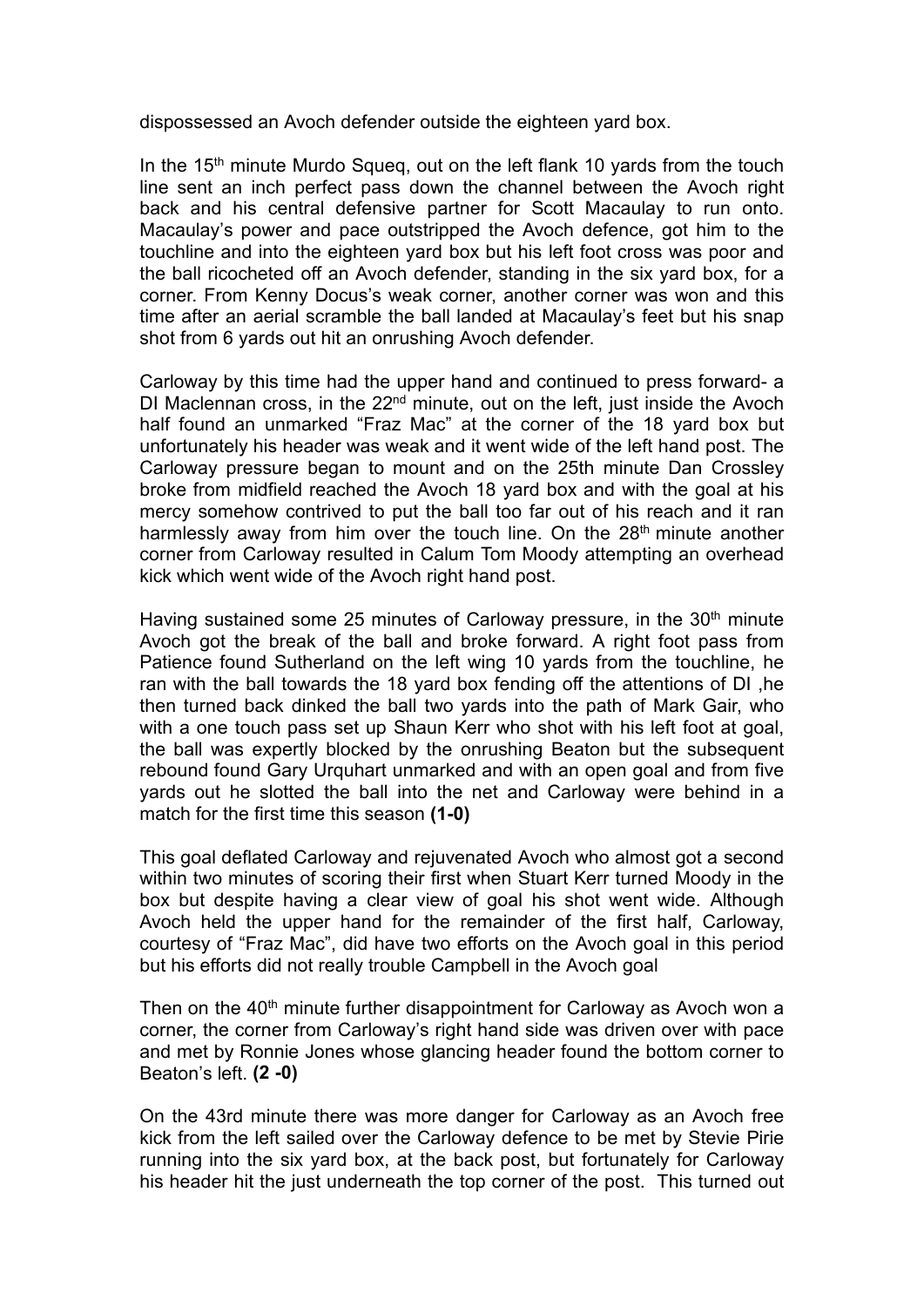dispossessed an Avoch defender outside the eighteen yard box.

In the  $15<sup>th</sup>$  minute Murdo Squeq, out on the left flank 10 yards from the touch line sent an inch perfect pass down the channel between the Avoch right back and his central defensive partner for Scott Macaulay to run onto. Macaulay's power and pace outstripped the Avoch defence, got him to the touchline and into the eighteen yard box but his left foot cross was poor and the ball ricocheted off an Avoch defender, standing in the six yard box, for a corner. From Kenny Docus's weak corner, another corner was won and this time after an aerial scramble the ball landed at Macaulay's feet but his snap shot from 6 yards out hit an onrushing Avoch defender.

Carloway by this time had the upper hand and continued to press forward- a DI Maclennan cross, in the  $22<sup>nd</sup>$  minute, out on the left, just inside the Avoch half found an unmarked "Fraz Mac" at the corner of the 18 yard box but unfortunately his header was weak and it went wide of the left hand post. The Carloway pressure began to mount and on the 25th minute Dan Crossley broke from midfield reached the Avoch 18 yard box and with the goal at his mercy somehow contrived to put the ball too far out of his reach and it ran harmlessly away from him over the touch line. On the 28<sup>th</sup> minute another corner from Carloway resulted in Calum Tom Moody attempting an overhead kick which went wide of the Avoch right hand post.

Having sustained some 25 minutes of Carloway pressure, in the 30<sup>th</sup> minute Avoch got the break of the ball and broke forward. A right foot pass from Patience found Sutherland on the left wing 10 yards from the touchline, he ran with the ball towards the 18 yard box fending off the attentions of DI ,he then turned back dinked the ball two yards into the path of Mark Gair, who with a one touch pass set up Shaun Kerr who shot with his left foot at goal, the ball was expertly blocked by the onrushing Beaton but the subsequent rebound found Gary Urquhart unmarked and with an open goal and from five yards out he slotted the ball into the net and Carloway were behind in a match for the first time this season **(1-0)**

This goal deflated Carloway and rejuvenated Avoch who almost got a second within two minutes of scoring their first when Stuart Kerr turned Moody in the box but despite having a clear view of goal his shot went wide. Although Avoch held the upper hand for the remainder of the first half, Carloway, courtesy of "Fraz Mac", did have two efforts on the Avoch goal in this period but his efforts did not really trouble Campbell in the Avoch goal

Then on the  $40<sup>th</sup>$  minute further disappointment for Carloway as Avoch won a corner, the corner from Carloway's right hand side was driven over with pace and met by Ronnie Jones whose glancing header found the bottom corner to Beaton's left. **(2 -0)**

On the 43rd minute there was more danger for Carloway as an Avoch free kick from the left sailed over the Carloway defence to be met by Stevie Pirie running into the six yard box, at the back post, but fortunately for Carloway his header hit the just underneath the top corner of the post. This turned out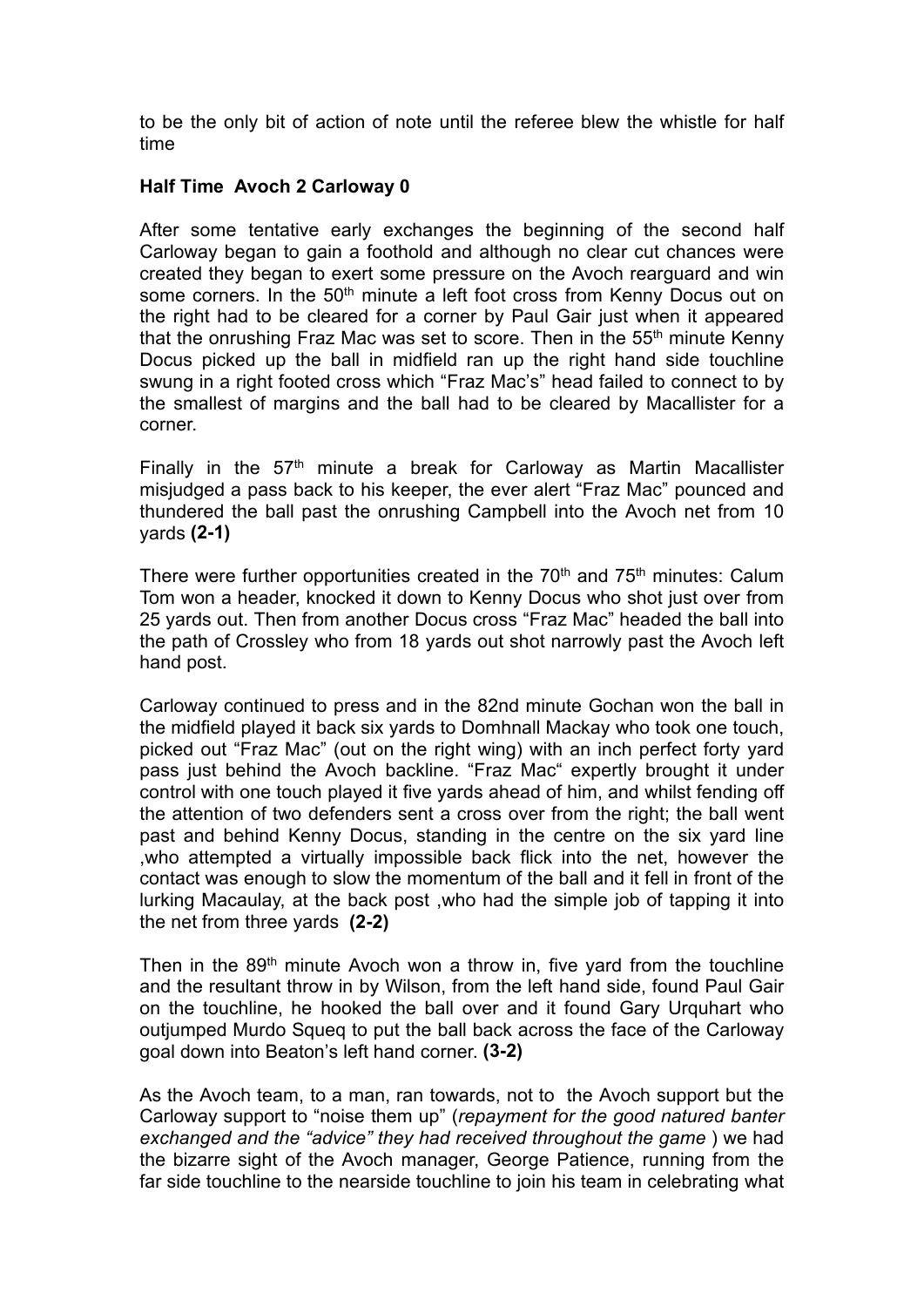to be the only bit of action of note until the referee blew the whistle for half time

## **Half Time Avoch 2 Carloway 0**

After some tentative early exchanges the beginning of the second half Carloway began to gain a foothold and although no clear cut chances were created they began to exert some pressure on the Avoch rearguard and win some corners. In the 50<sup>th</sup> minute a left foot cross from Kenny Docus out on the right had to be cleared for a corner by Paul Gair just when it appeared that the onrushing Fraz Mac was set to score. Then in the  $55<sup>th</sup>$  minute Kenny Docus picked up the ball in midfield ran up the right hand side touchline swung in a right footed cross which "Fraz Mac's" head failed to connect to by the smallest of margins and the ball had to be cleared by Macallister for a corner.

Finally in the  $57<sup>th</sup>$  minute a break for Carloway as Martin Macallister misjudged a pass back to his keeper, the ever alert "Fraz Mac" pounced and thundered the ball past the onrushing Campbell into the Avoch net from 10 yards **(2-1)**

There were further opportunities created in the  $70<sup>th</sup>$  and  $75<sup>th</sup>$  minutes: Calum Tom won a header, knocked it down to Kenny Docus who shot just over from 25 yards out. Then from another Docus cross "Fraz Mac" headed the ball into the path of Crossley who from 18 yards out shot narrowly past the Avoch left hand post.

Carloway continued to press and in the 82nd minute Gochan won the ball in the midfield played it back six yards to Domhnall Mackay who took one touch, picked out "Fraz Mac" (out on the right wing) with an inch perfect forty yard pass just behind the Avoch backline. "Fraz Mac" expertly brought it under control with one touch played it five yards ahead of him, and whilst fending off the attention of two defenders sent a cross over from the right; the ball went past and behind Kenny Docus, standing in the centre on the six yard line ,who attempted a virtually impossible back flick into the net, however the contact was enough to slow the momentum of the ball and it fell in front of the lurking Macaulay, at the back post ,who had the simple job of tapping it into the net from three yards **(2-2)**

Then in the  $89<sup>th</sup>$  minute Avoch won a throw in, five yard from the touchline and the resultant throw in by Wilson, from the left hand side, found Paul Gair on the touchline, he hooked the ball over and it found Gary Urquhart who outjumped Murdo Squeq to put the ball back across the face of the Carloway goal down into Beaton's left hand corner. **(3-2)**

As the Avoch team, to a man, ran towards, not to the Avoch support but the Carloway support to "noise them up" (*repayment for the good natured banter exchanged and the "advice" they had received throughout the game* ) we had the bizarre sight of the Avoch manager, George Patience, running from the far side touchline to the nearside touchline to join his team in celebrating what